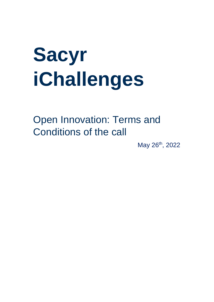# **Sacyr iChallenges**

Open Innovation: Terms and Conditions of the call

May 26<sup>th</sup>, 2022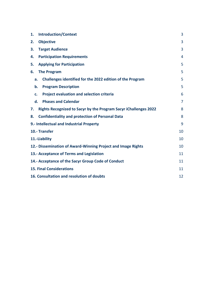| <b>Introduction/Context</b><br>1.                                             | 3              |
|-------------------------------------------------------------------------------|----------------|
| <b>Objective</b><br>2.                                                        | 3              |
| <b>Target Audience</b><br>3.                                                  | 3              |
| <b>Participation Requirements</b><br>4.                                       | 4              |
| <b>Applying for Participation</b><br>5.                                       | 5              |
| <b>The Program</b><br>6.                                                      | 5              |
| Challenges identified for the 2022 edition of the Program<br>a.               | 5              |
| <b>Program Description</b><br>b.                                              | 5              |
| <b>Project evaluation and selection criteria</b><br>c.                        | 6              |
| <b>Phases and Calendar</b><br>$\mathbf{d}$ .                                  | $\overline{7}$ |
| <b>Rights Recognized to Sacyr by the Program Sacyr iChallenges 2022</b><br>7. | 8              |
| <b>Confidentiality and protection of Personal Data</b><br>8.                  | 8              |
| 9.- Intellectual and Industrial Property                                      | 9              |
| 10.- Transfer                                                                 | 10             |
| 11.-Liability                                                                 | 10             |
| 12.- Dissemination of Award-Winning Project and Image Rights                  | 10             |
| 13.- Acceptance of Terms and Legislation                                      | 11             |
| 14.- Acceptance of the Sacyr Group Code of Conduct                            | 11             |
| <b>15. Final Considerations</b>                                               | 11             |
| 16. Consultation and resolution of doubts                                     | 12             |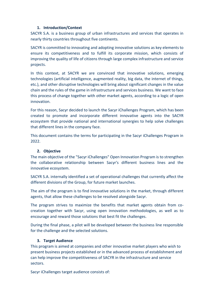## **1. Introduction/Context**

<span id="page-2-0"></span>SACYR S.A. is a business group of urban infrastructures and services that operates in nearly thirty countries throughout five continents.

SACYR is committed to innovating and adopting innovative solutions as key elements to ensure its competitiveness and to fulfill its corporate mission, which consists of improving the quality of life of citizens through large complex infrastructure and service projects.

In this context, at SACYR we are convinced that innovative solutions, emerging technologies (artificial intelligence, augmented reality, big data, the internet of things, etc.), and other disruptive technologies will bring about significant changes in the value chain and the rules of the game in infrastructure and services business. We want to face this process of change together with other market agents, according to a logic of open innovation.

For this reason, Sacyr decided to launch the Sacyr iChallenges Program, which has been created to promote and incorporate different innovative agents into the SACYR ecosystem that provide national and international synergies to help solve challenges that different lines in the company face.

This document contains the terms for participating in the Sacyr iChallenges Program in 2022.

# **2. Objective**

<span id="page-2-1"></span>The main objective of the "Sacyr iChallenges" Open Innovation Program is to strengthen the collaborative relationship between Sacyr's different business lines and the innovative ecosystem.

SACYR S.A. internally identified a set of operational challenges that currently affect the different divisions of the Group, for future market launches.

The aim of the program is to find innovative solutions in the market, through different agents, that allow these challenges to be resolved alongside Sacyr.

The program strives to maximize the benefits that market agents obtain from cocreation together with Sacyr, using open innovation methodologies, as well as to encourage and reward those solutions that best fit the challenges.

During the final phase, a pilot will be developed between the business line responsible for the challenge and the selected solutions.

# **3. Target Audience**

<span id="page-2-2"></span>This program is aimed at companies and other innovative market players who wish to present business projects established or in the advanced process of establishment and can help improve the competitiveness of SACYR in the infrastructure and service sectors.

Sacyr iChallenges target audience consists of: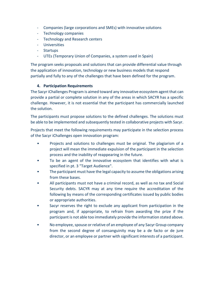- Companies (large corporations and SMEs) with innovative solutions
- Technology companies
- Technology and Research centers
- Universities
- Startups
- UTEs (Temporary Union of Companies, a system used in Spain)

The program seeks proposals and solutions that can provide differential value through the application of innovation, technology or new business models that respond partially and fully to any of the challenges that have been defined for the program.

# **4. Participation Requirements**

<span id="page-3-0"></span>The Sacyr iChallenges Program is aimed toward any innovative ecosystem agent that can provide a partial or complete solution in any of the areas in which SACYR has a specific challenge. However, it is not essential that the participant has commercially launched the solution.

The participants must propose solutions to the defined challenges. The solutions must be able to be implemented and subsequently tested in collaborative projects with Sacyr.

Projects that meet the following requirements may participate in the selection process of the Sacyr iChallenges open innovation program:

- Projects and solutions to challenges must be original. The plagiarism of a project will mean the immediate expulsion of the participant in the selection process and the inability of reappearing in the future.
- To be an agent of the innovative ecosystem that identifies with what is specified in pt. 3 "Target Audience".
- The participant must have the legal capacity to assume the obligations arising from these bases.
- All participants must not have a criminal record, as well as no tax and Social Security debts. SACYR may at any time require the accreditation of the following by means of the corresponding certificates issued by public bodies or appropriate authorities.
- Sacyr reserves the right to exclude any applicant from participation in the program and, if appropriate, to refrain from awarding the prize if the participant is not able too immediately provide the information stated above.
- No employee, spouse or relative of an employee of any Sacyr Group company from the second degree of consanguinity may be a de facto or de jure director, or an employee or partner with significant interests of a participant.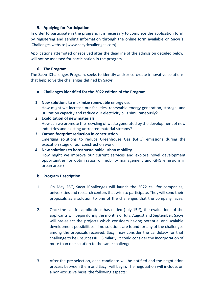# **5. Applying for Participation**

<span id="page-4-0"></span>In order to participate in the program, it is necessary to complete the application form by registering and sending information through the online form available on Sacyr´s iChallenges website [\[www.sacyrichallenges.com\]](http://www.sacyrichallenges.com/).

Applications attempted or received after the deadline of the admission detailed below will not be assessed for participation in the program.

# **6. The Program**

<span id="page-4-1"></span>The Sacyr iChallenges Program, seeks to identify and/or co-create innovative solutions that help solve the challenges defined by Sacyr.

# <span id="page-4-3"></span><span id="page-4-2"></span>**a. Challenges identified for the 2022 edition of the Program**

# **1. New solutions to maximize renewable energy use**

How might we increase our facilities' renewable energy generation, storage, and utilization capacity and reduce our electricity bills simultaneously?

## 2. **Exploitation of new materials**

How can we promote the recycling of waste generated by the development of new industries and existing untreated material streams?

# **3. Carbon footprint reduction in construction** Emerging solutions to reduce Greenhouse Gas (GHG) emissions during the execution stage of our construction work.

# **4. New solutions to boost sustainable urban mobility**

How might we improve our current services and explore novel development opportunities for optimization of mobility management and GHG emissions in urban areas?

# **b. Program Description**

- 1. On May 26<sup>th</sup>, Sacyr iChallenges will launch the 2022 call for companies, universities and research centers that wish to participate. They will send their proposals as a solution to one of the challenges that the company faces.
- 2. Once the call for applications has ended (July  $15<sup>th</sup>$ ), the evaluations of the applicants will begin during the months of July, August and September. Sacyr will pre-select the projects which considers having potential and scalable development possibilities. If no solutions are found for any of the challenges among the proposals received, Sacyr may consider the candidacy for that challenge to be unsuccessful. Similarly, it could consider the incorporation of more than one solution to the same challenge.
- 3. After the pre-selection, each candidate will be notified and the negotiation process between them and Sacyr will begin. The negotiation will include, on a non-exclusive basis, the following aspects: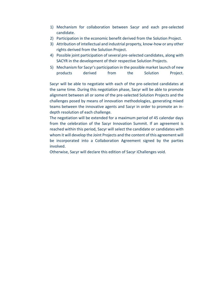- 1) Mechanism for collaboration between Sacyr and each pre-selected candidate.
- 2) Participation in the economic benefit derived from the Solution Project.
- 3) Attribution of intellectual and industrial property, know-how or any other rights derived from the Solution Project.
- 4) Possible joint participation of several pre-selected candidates, along with SACYR in the development of their respective Solution Projects.
- 5) Mechanism for Sacyr's participation in the possible market launch of new products derived from the Solution Project.

Sacyr will be able to negotiate with each of the pre-selected candidates at the same time. During this negotiation phase, Sacyr will be able to promote alignment between all or some of the pre-selected Solution Projects and the challenges posed by means of innovation methodologies, generating mixed teams between the innovative agents and Sacyr in order to promote an indepth resolution of each challenge.

The negotiation will be extended for a maximum period of 45 calendar days from the celebration of the Sacyr Innovation Summit. If an agreement is reached within this period, Sacyr will select the candidate or candidates with whom it will develop the Joint Projects and the content of this agreement will be incorporated into a Collaboration Agreement signed by the parties involved.

Otherwise, Sacyr will declare this edition of Sacyr iChallenges void.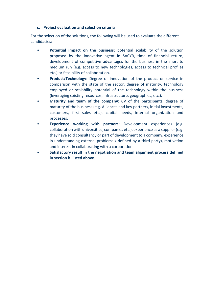# <span id="page-6-0"></span>**c. Project evaluation and selection criteria**

For the selection of the solutions, the following will be used to evaluate the different candidacies:

- **Potential impact on the business**: potential scalability of the solution proposed by the innovative agent in SACYR, time of financial return, development of competitive advantages for the business in the short to medium run (e.g. access to new technologies, access to technical profiles etc.) or feasibility of collaboration.
- **Product/Technology:** Degree of innovation of the product or service in comparison with the state of the sector, degree of maturity, technology employed or scalability potential of the technology within the business (leveraging existing resources, infrastructure, geographies, etc.).
- **Maturity and team of the company:** CV of the participants, degree of maturity of the business (e.g. Alliances and key partners, initial investments, customers, first sales etc.), capital needs, internal organization and processes.
- **Experience working with partners:** Development experiences (e.g. collaboration with universities, companies etc.), experience as a supplier (e.g. they have sold consultancy or part of development to a company, experience in understanding external problems / defined by a third party), motivation and interest in collaborating with a corporation.
- **Satisfactory result in the negotiation and team alignment process defined in section b. listed above.**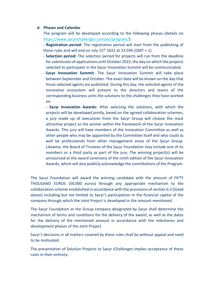#### <span id="page-7-0"></span>**d. Phases and Calendar**

The program will be developed according to the following phases (details on [https://www.sacyrichallenges.com/en/program/\)](https://www.sacyrichallenges.com/en/program/):

**- Registration period:** The registration period will start from the publishing of these rules and will end on July  $15<sup>th</sup>$  2022 at 23:59h (GMT + 1).

- **Selection period:** The selection period for projects will run from the deadline for submission of applications until October 2022, the day on which the projects selected to participate in the Sacyr Innovation Summit will be communicated.
- **Sacyr Innovation Summit**: The Sacyr Innovation Summit will take place between September and October. The exact date will be known on the day that those selected agents are published. During this day, the selected agents of the innovative ecosystem will present to the directors and teams of the corresponding business units the solutions to the challenges they have worked on.

**- Sacyr Innovation Awards:** After selecting the solutions, with which the projects will be developed jointly, based on the agreed collaboration schemes, a jury made up of executives from the Sacyr Group will choose the most attractive project as the winner within the framework of the Sacyr Innovation Awards. This jury will have members of the Innovation Committee as well as other people who may be appointed by the Committee itself and who could as well be professionals from other management areas of the Sacyr Group. Likewise, the Board of Trustees of the Sacyr Foundation may include one of its members or a third party as part of the jury. The winning project(s) will be announced at the award ceremony of the ninth edition of the Sacyr Innovation Awards, which will also publicly acknowledge the contributions of the Program.

The Sacyr Foundation will award the winning candidate with the amount of FIFTY THOUSAND EUROS (50,000 euros) through any appropriate mechanism to the collaboration scheme established in accordance with the provisions of section b.3 (listed above) including but not limited to Sacyr's participation in the financial capital of the company through which the Joint Project is developed in the amount mentioned.

The Sacyr Foundation or the Group company designated by Sacyr shall determine the mechanism of terms and conditions for the delivery of the award, as well as the dates for the delivery of the mentioned amount in accordance with the milestones and development phases of the Joint Project.

Sacyr's decisions in all matters covered by these rules shall be without appeal and need to be motivated.

The presentation of Solution Projects to Sacyr iChallenges implies acceptance of these rules in their entirety.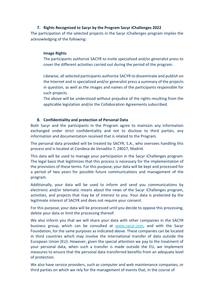# **7. Rights Recognized to Sacyr by the Program Sacyr iChallenges 2022**

<span id="page-8-0"></span>The participation of the selected projects in the Sacyr iChallenges program implies the acknowledging of the following:

## **Image Rights**

The participants authorize SACYR to invite specialized and/or generalist press to cover the different activities carried out during the period of the program.

Likewise, all selected participants authorize SACYR to disseminate and publish on the Internet and in specialized and/or generalist press a summary of the projects in question, as well as the images and names of the participants responsible for such projects*.*

The above will be understood without prejudice of the rights resulting from the applicable legislation and/or the Collaboration Agreements subscribed.

## **8. Confidentiality and protection of Personal Data**

<span id="page-8-1"></span>Both Sacyr and the participants in the Program agree to maintain any information exchanged under strict confidentiality and not to disclose to third parties, any information and documentation received that is related to the Program.

The personal data provided will be treated by SACYR, S.A., who oversees handling this process and is located at Condesa de Venadito 7, 28027, Madrid.

This data will be used to manage your participation in the Sacyr iChallenges program. The legal basis that legitimizes that this process is necessary for the implementation of the provisions of these terms. For this purpose, your data will be kept and processed for a period of two years for possible future communications and management of the program.

Additionally, your data will be used to inform and send you communications by electronic and/or telematic means about the news of the Sacyr iChallenges program, activities, and projects that may be of interest to you. Your data is protected by the legitimate interest of SACYR and does not require your consent.

For this purpose, your data will be processed until you decide to oppose this processing, delete your data or limit the processing thereof.

We also inform you that we will share your data with other companies in the SACYR business group, which can be consulted at [www.sacyr.com,](http://www.sacyr.com/) and with the Sacyr Foundation, for the same purposes as indicated above. These companies can be located in third countries which may involve the international transfer of data outside the European Union (EU). However, given the special attention we pay to the treatment of your personal data, when such a transfer is made outside the EU, we implement measures to ensure that the personal data transferred benefits from an adequate level of protection.

We also have service providers, such as computer and web maintenance companies, or third parties on which we rely for the management of events that, in the course of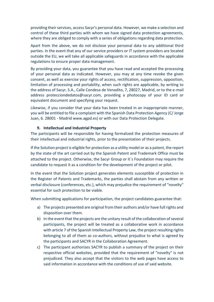providing their services, access Sacyr's personal data. However, we make a selection and control of these third parties with whom we have signed data protection agreements, where they are obliged to comply with a series of obligations regarding data protection.

Apart from the above, we do not disclose your personal data to any additional third parties. In the event that any of our service providers or IT system providers are located outside the EU, we will take all applicable safeguards in accordance with the applicable regulations to ensure proper data management.

By providing your data, you guarantee that you have read and accepted the processing of your personal data as indicated. However, you may at any time revoke the given consent, as well as exercise your rights of access, rectification, suppression, opposition, limitation of processing and portability, when such rights are applicable, by writing to the address of Sacyr, S.A., Calle Condesa de Venadito, 7, 28027, Madrid, or to the e-mail address [protecciondedatos@sacyr.com,](mailto:protecciondedatos@sacyr.com) providing a photocopy of your ID card or equivalent document and specifying your request.

Likewise, if you consider that your data has been treated in an inappropriate manner, you will be entitled to file a complaint with the Spanish Data Protection Agency (C/ Jorge Juan, 6. 28001 - Madrid www.agpd.es) or with our Data Protection Delegate.

# **9. Intellectual and Industrial Property**

<span id="page-9-0"></span>The participants will be responsible for having formalized the protection measures of their intellectual and industrial rights, prior to the presentation of their projects.

If the Solution project is eligible for protection as a utility model or as a patent, the report by the state of the art carried out by the Spanish Patent and Trademark Office must be attached to the project. Otherwise, the Sacyr Group or it´s Foundation may require the candidate to request it as a condition for the development of the project or pilot.

In the event that the Solution project generates elements susceptible of protection in the Register of Patents and Trademarks, the parties shall abstain from any written or verbal disclosure (conferences, etc.), which may prejudice the requirement of "novelty" essential for such protection to be viable.

When submitting applications for participation, the project candidates guarantee that:

- a) The projects presented are original from their authors and/or have full rights and disposition over them.
- b) In the event that the projects are the unitary result of the collaboration of several participants, the project will be treated as a collaborative work in accordance with article 7 of the Spanish Intellectual Property Law, the project resulting rights belonging to all of them as co-authors, without prejudice to what is agreed by the participants and SACYR in the Collaboration Agreement.
- c) The participant authorizes SACYR to publish a summary of the project on their respective official websites, provided that the requirement of "novelty" is not prejudiced. They also accept that the visitors to the web pages have access to said information in accordance with the conditions of use of said website.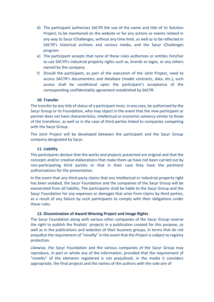- d) The participant authorizes SACYR the use of the name and title of its Solution Project, to be mentioned on the website or for any actions or events related in any way to Sacyr iChallenges, without any time limit, as well as to be reflected in SACYR's historical archives and various media, and the Sacyr iChallenges program.
- e) The participant accepts that none of these rules authorizes or entitles him/her to use SACYR's industrial property rights such as, brands or logos, or any others owned by the company.
- f) Should the participant, as part of the execution of the Joint Project, need to access SACYR's documentary and database (model contracts, data, etc.), such access shall be conditional upon the participant's acceptance of the corresponding confidentiality agreement established by SACYR.

## **10. Transfer**

<span id="page-10-0"></span>The transfer by any title of status of a participant must, in any case, be authorized by the Sacyr Group or its Foundation, who may object in the event that the new participant or partner does not have characteristics, intellectual or economic solvency similar to those of the transferor, as well as in the case of third parties linked to companies competing with the Sacyr Group.

The Joint Project will be developed between the participant and the Sacyr Group company designated by Sacyr.

#### **11. Liability**

<span id="page-10-1"></span>The participants declare that the works and projects presented are original and that the concepts and/or creative elaborations that make them up have not been carried out by non-participating third parties or that in their case they have the pertinent authorizations for the presentation.

In the event that any third-party claims that any intellectual or industrial property right has been violated, the Sacyr Foundation and the companies of the Sacyr Group will be exonerated from all liability. The participants shall be liable to the Sacyr Group and the Sacyr Foundation for any expenses or damages that arise from claims by third parties, as a result of any failure by such participants to comply with their obligations under these rules.

# **12. Dissemination of Award-Winning Project and Image Rights**

<span id="page-10-2"></span>The Sacyr Foundation along with various other companies of the Sacyr Group reserve the right to publish the finalists´ projects in a publication created for this purpose, as well as in the publications and websites of their business groups, in terms that do not prejudice the requirement of "novelty" in the event that the Project is subject to registry protection.

Likewise, the Sacyr Foundation and the various companies of the Sacyr Group may reproduce, in part or whole any of the information, provided that the requirement of "novelty" of the elements registered is not prejudiced, in the media it considers appropriate, the final projects and the names of the authors with the sole aim of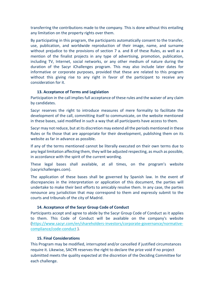transferring the contributions made to the company. This is done without this entailing any limitation on the property rights over them.

By participating in this program, the participants automatically consent to the transfer, use, publication, and worldwide reproduction of their image, name, and surname without prejudice to the provisions of section 7 a. and 8 of these Rules, as well as a mention of the finalist projects in any type of advertising, promotion, publication, including TV, Internet, social networks, or any other medium of nature during the duration of the Sacyr iChallenges program. This may also include later dates for informative or corporate purposes, provided that these are related to this program without this giving rise to any right in favor of the participant to receive any consideration for it.

## **13. Acceptance of Terms and Legislation**

<span id="page-11-0"></span>Participation in the call implies full acceptance of these rules and the waiver of any claim by candidates.

Sacyr reserves the right to introduce measures of mere formality to facilitate the development of the call, committing itself to communicate, on the website mentioned in these bases, said modified in such a way that all participants have access to them.

Sacyr may not reduce, but at its discretion may extend all the periods mentioned in these Rules or fix those that are appropriate for their development, publishing them on its website as far in advance as possible.

If any of the terms mentioned cannot be literally executed on their own terms due to any legal limitation affecting them, they will be adjusted respecting, as much as possible, in accordance with the spirit of the current wording.

These legal bases shall available, at all times, on the program's website (sacyrichallenges.com).

The application of these bases shall be governed by Spanish law. In the event of discrepancies in the interpretation or application of this document, the parties will undertake to make their best efforts to amicably resolve them. In any case, the parties renounce any jurisdiction that may correspond to them and expressly submit to the courts and tribunals of the city of Madrid.

#### **14. Acceptance of the Sacyr Group Code of Conduct**

<span id="page-11-1"></span>Participants accept and agree to abide by the Sacyr Group Code of Conduct as it applies to them. This Code of Conduct will be available on the company's website [\(https://www.sacyr.com/en/shareholders-investors/corporate-governance/normative](https://www.sacyr.com/en/shareholders-investors/corporate-governance/normative-compliance/code-conduct)[compliance/code-conduct](https://www.sacyr.com/en/shareholders-investors/corporate-governance/normative-compliance/code-conduct) ).

#### **15. Final Considerations**

<span id="page-11-2"></span>This Program may be modified, interrupted and/or cancelled if justified circumstances require it. Likewise, SACYR reserves the right to declare the prize void if no project submitted meets the quality expected at the discretion of the Deciding Committee for each challenge.